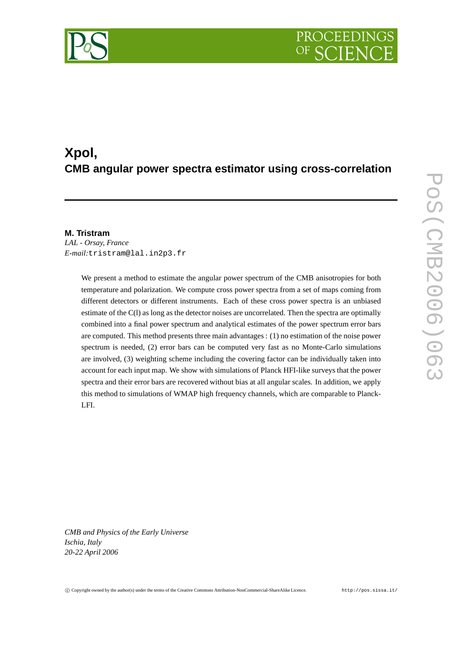# PROCEEDIN

## **Xpol, CMB angular power spectra estimator using cross-correlation**

### **M. Tristram**

*LAL - Orsay, France E-mail:*tristram@lal.in2p3.fr

> We present a method to estimate the angular power spectrum of the CMB anisotropies for both temperature and polarization. We compute cross power spectra from a set of maps coming from different detectors or different instruments. Each of these cross power spectra is an unbiased estimate of the C(l) as long as the detector noises are uncorrelated. Then the spectra are optimally combined into a final power spectrum and analytical estimates of the power spectrum error bars are computed. This method presents three main advantages : (1) no estimation of the noise power spectrum is needed, (2) error bars can be computed very fast as no Monte-Carlo simulations are involved, (3) weighting scheme including the covering factor can be individually taken into account for each input map. We show with simulations of Planck HFI-like surveys that the power spectra and their error bars are recovered without bias at all angular scales. In addition, we apply this method to simulations of WMAP high frequency channels, which are comparable to Planck-LFI.

*CMB and Physics of the Early Universe Ischia, Italy 20-22 April 2006*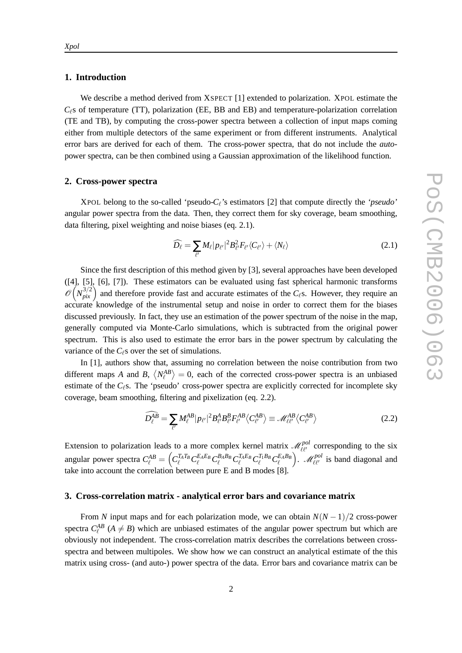#### **1. Introduction**

We describe a method derived from XSPECT [1] extended to polarization. XPOL estimate the  $C_{\ell}$ s of temperature (TT), polarization (EE, BB and EB) and temperature-polarization correlation (TE and TB), by computing the cross-power spectra between a collection of input maps coming either from multiple detectors of the same experiment or from different instruments. Analytical error bars are derived for each of them. The cross-power spectra, that do not include the *auto*power spectra, can be then combined using a Gaussian approximation of the likelihood function.

#### **2. Cross-power spectra**

XPOL belong to the so-called 'pseudo-*C*<sup>ℓ</sup> 's estimators [2] that compute directly the *'pseudo'* angular power spectra from the data. Then, they correct them for sky coverage, beam smoothing, data filtering, pixel weighting and noise biases (eq. 2.1).

$$
\widehat{D}_{\ell} = \sum_{\ell'} M_{\ell} |p_{\ell'}|^2 B_{\ell'}^2 F_{\ell'} \langle C_{\ell'} \rangle + \langle N_{\ell} \rangle \tag{2.1}
$$

Since the first description of this method given by [3], several approaches have been developed ([4], [5], [6], [7]). These estimators can be evaluated using fast spherical harmonic transforms  $\mathcal{O}(N_{pix}^{3/2})$  and therefore provide fast and accurate estimates of the *C*<sub>ℓ</sub>s. However, they require an accurate knowledge of the instrumental setup and noise in order to correct them for the biases discussed previously. In fact, they use an estimation of the power spectrum of the noise in the map, generally computed via Monte-Carlo simulations, which is subtracted from the original power spectrum. This is also used to estimate the error bars in the power spectrum by calculating the variance of the  $C_{\ell}$ s over the set of simulations.

In [1], authors show that, assuming no correlation between the noise contribution from two different maps *A* and *B*,  $\langle N_{\ell}^{AB} \rangle = 0$ , each of the corrected cross-power spectra is an unbiased estimate of the *C*<sub>ℓ</sub>s. The 'pseudo' cross-power spectra are explicitly corrected for incomplete sky coverage, beam smoothing, filtering and pixelization (eq. 2.2).

$$
\widehat{D_{\ell}^{AB}} = \sum_{\ell'} M_{\ell}^{AB} |p_{\ell'}|^2 B_{\ell'}^A B_{\ell'}^B F_{\ell'}^{AB} \langle C_{\ell'}^{AB} \rangle \equiv \mathscr{M}_{\ell\ell'}^{AB} \langle C_{\ell'}^{AB} \rangle \tag{2.2}
$$

Extension to polarization leads to a more complex kernel matrix  $\mathcal{M}_{\ell\ell'}^{pol}$  corresponding to the six angular power spectra  $C_{\ell}^{AB}=\left(C_{\ell}^{T_A T_B}C_{\ell}^{E_A E_B}C_{\ell}^{B_A B_B}C_{\ell}^{T_A E_B}C_{\ell}^{T_1 B_B}C_{\ell}^{E_A B_B}\right)$ ).  $\mathcal{M}_{\ell\ell'}^{pol}$  is band diagonal and take into account the correlation between pure E and B modes [8].

#### **3. Cross-correlation matrix - analytical error bars and covariance matrix**

From *N* input maps and for each polarization mode, we can obtain  $N(N-1)/2$  cross-power spectra  $C_{\ell}^{AB}$  ( $A \neq B$ ) which are unbiased estimates of the angular power spectrum but which are obviously not independent. The cross-correlation matrix describes the correlations between crossspectra and between multipoles. We show how we can construct an analytical estimate of the this matrix using cross- (and auto-) power spectra of the data. Error bars and covariance matrix can be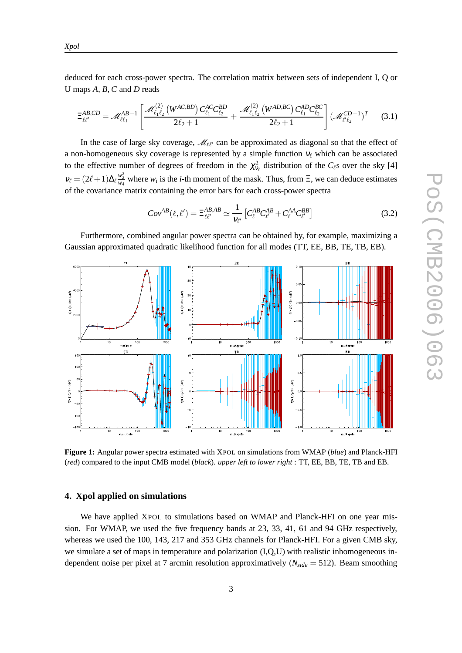deduced for each cross-power spectra. The correlation matrix between sets of independent I, Q or U maps *A*, *B*, *C* and *D* reads

$$
\Xi_{\ell\ell'}^{AB,CD} = \mathcal{M}_{\ell\ell_1}^{AB-1} \left[ \frac{\mathcal{M}_{\ell_1\ell_2}^{(2)} \left( W^{AC,BD} \right) C_{\ell_1}^{AC} C_{\ell_2}^{BD}}{2\ell_2 + 1} + \frac{\mathcal{M}_{\ell_1\ell_2}^{(2)} \left( W^{AD,BC} \right) C_{\ell_1}^{AD} C_{\ell_2}^{BC}}{2\ell_2 + 1} \right] (\mathcal{M}_{\ell'\ell_2}^{CD-1})^T \tag{3.1}
$$

In the case of large sky coverage,  $\mathcal{M}_{\ell\ell'}$  can be approximated as diagonal so that the effect of a non-homogeneous sky coverage is represented by a simple function  $v_{\ell}$  which can be associated to the effective number of degrees of freedom in the  $\chi^2_{\nu_\ell}$  distribution of the  $C_\ell$ s over the sky [4]  $v_{\ell} = (2\ell+1)\Delta_{\ell} \frac{w_2^2}{w_4}$  where  $w_i$  is the *i*-th moment of the mask. Thus, from  $\Xi$ , we can deduce estimates of the covariance matrix containing the error bars for each cross-power spectra

$$
Cov^{AB}(\ell,\ell') = \Xi_{\ell\ell'}^{AB,AB} \simeq \frac{1}{V_{\ell'}} \left[ C_{\ell}^{AB} C_{\ell'}^{AB} + C_{\ell}^{AA} C_{\ell'}^{BB} \right]
$$
(3.2)

Furthermore, combined angular power spectra can be obtained by, for example, maximizing a Gaussian approximated quadratic likelihood function for all modes (TT, EE, BB, TE, TB, EB).



**Figure 1:** Angular power spectra estimated with XPOL on simulations from WMAP (*blue*) and Planck-HFI (*red*) compared to the input CMB model (*black*). *upper left to lower right* : TT, EE, BB, TE, TB and EB.

#### **4. Xpol applied on simulations**

We have applied XPOL to simulations based on WMAP and Planck-HFI on one year mission. For WMAP, we used the five frequency bands at 23, 33, 41, 61 and 94 GHz respectively, whereas we used the 100, 143, 217 and 353 GHz channels for Planck-HFI. For a given CMB sky, we simulate a set of maps in temperature and polarization (I,Q,U) with realistic inhomogeneous independent noise per pixel at 7 arcmin resolution approximatively (*Nside* = 512). Beam smoothing